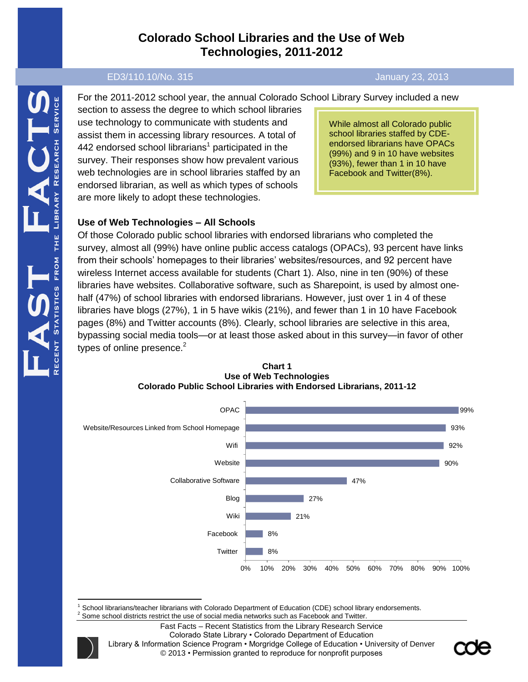# **Colorado School Libraries and the Use of Web Technologies, 2011-2012**

#### ED3/110.10/No. 315 January 23, 2013

For the 2011-2012 school year, the annual Colorado School Library Survey included a new

section to assess the degree to which school libraries use technology to communicate with students and assist them in accessing library resources. A total of 442 endorsed school librarians<sup>1</sup> participated in the survey. Their responses show how prevalent various web technologies are in school libraries staffed by an endorsed librarian, as well as which types of schools are more likely to adopt these technologies.

While almost all Colorado public school libraries staffed by CDEendorsed librarians have OPACs (99%) and 9 in 10 have websites (93%), fewer than 1 in 10 have Facebook and Twitter(8%).

### **Use of Web Technologies – All Schools**

Of those Colorado public school libraries with endorsed librarians who completed the survey, almost all (99%) have online public access catalogs (OPACs), 93 percent have links from their schools' homepages to their libraries' websites/resources, and 92 percent have wireless Internet access available for students (Chart 1). Also, nine in ten (90%) of these libraries have websites. Collaborative software, such as Sharepoint, is used by almost onehalf (47%) of school libraries with endorsed librarians. However, just over 1 in 4 of these libraries have blogs (27%), 1 in 5 have wikis (21%), and fewer than 1 in 10 have Facebook pages (8%) and Twitter accounts (8%). Clearly, school libraries are selective in this area, bypassing social media tools—or at least those asked about in this survey—in favor of other types of online presence. $2$ 



**Chart 1 Use of Web Technologies Colorado Public School Libraries with Endorsed Librarians, 2011-12**

 $\overline{a}$ School librarians/teacher librarians with Colorado Department of Education (CDE) school library endorsements.

<sup>&</sup>lt;sup>2</sup> Some school districts restrict the use of social media networks such as Facebook and Twitter.

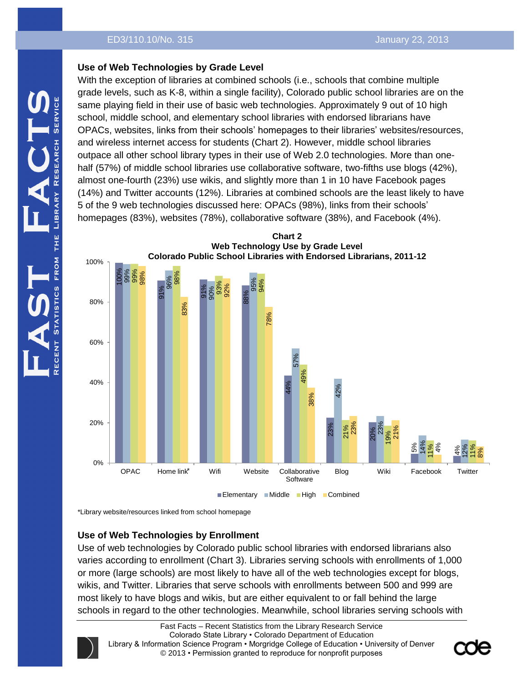## **Use of Web Technologies by Grade Level**

With the exception of libraries at combined schools (i.e., schools that combine multiple grade levels, such as K-8, within a single facility), Colorado public school libraries are on the same playing field in their use of basic web technologies. Approximately 9 out of 10 high school, middle school, and elementary school libraries with endorsed librarians have OPACs, websites, links from their schools' homepages to their libraries' websites/resources, and wireless internet access for students (Chart 2). However, middle school libraries outpace all other school library types in their use of Web 2.0 technologies. More than onehalf (57%) of middle school libraries use collaborative software, two-fifths use blogs (42%), almost one-fourth (23%) use wikis, and slightly more than 1 in 10 have Facebook pages (14%) and Twitter accounts (12%). Libraries at combined schools are the least likely to have 5 of the 9 web technologies discussed here: OPACs (98%), links from their schools' homepages (83%), websites (78%), collaborative software (38%), and Facebook (4%).



\*Library website/resources linked from school homepage

# **Use of Web Technologies by Enrollment**

Use of web technologies by Colorado public school libraries with endorsed librarians also varies according to enrollment (Chart 3). Libraries serving schools with enrollments of 1,000 or more (large schools) are most likely to have all of the web technologies except for blogs, wikis, and Twitter. Libraries that serve schools with enrollments between 500 and 999 are most likely to have blogs and wikis, but are either equivalent to or fall behind the large